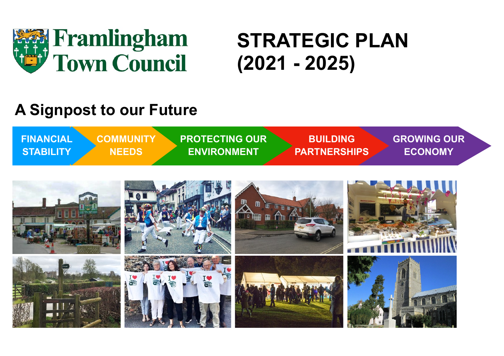

# **STRATEGIC PLAN (2021 - 2025)**

## **A Signpost to our Future**



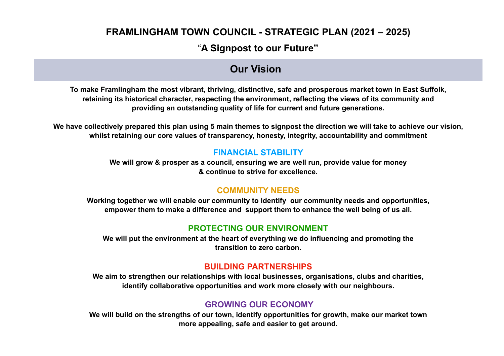#### "**A Signpost to our Future"**

#### **Our Vision**

**To make Framlingham the most vibrant, thriving, distinctive, safe and prosperous market town in East Suffolk, retaining its historical character, respecting the environment, reflecting the views of its community and providing an outstanding quality of life for current and future generations.**

**We have collectively prepared this plan using 5 main themes to signpost the direction we will take to achieve our vision, whilst retaining our core values of transparency, honesty, integrity, accountability and commitment** 

#### **FINANCIAL STABILITY**

**We will grow & prosper as a council, ensuring we are well run, provide value for money & continue to strive for excellence.** 

#### **COMMUNITY NEEDS**

**Working together we will enable our community to identify our community needs and opportunities, empower them to make a difference and support them to enhance the well being of us all.**

#### **PROTECTING OUR ENVIRONMENT**

**We will put the environment at the heart of everything we do influencing and promoting the transition to zero carbon.** 

#### **BUILDING PARTNERSHIPS**

**We aim to strengthen our relationships with local businesses, organisations, clubs and charities, identify collaborative opportunities and work more closely with our neighbours.** 

#### **GROWING OUR ECONOMY**

**We will build on the strengths of our town, identify opportunities for growth, make our market town more appealing, safe and easier to get around.**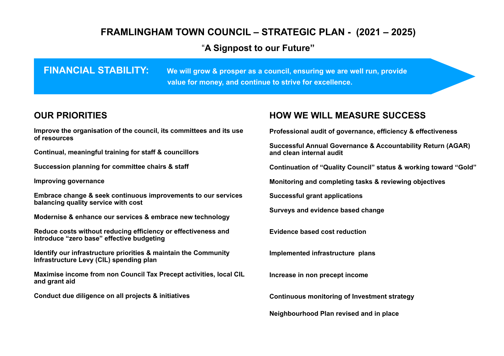#### "A Signpost to our Future"

**FINANCIAL STABILITI:** We will grow a prosper as a council, ensuring we are well run, provide value of model is a council, ensuring we are well run, provide **continue to strive for excellence. value for money, and continue to strive for excellence.FINANCIAL STABILITY: We will grow & prosper as a council, ensuring we are well run, provide** 

#### **OUR PRIORITIES**

**Improve the organisation of the council, its committees and its use of resources**

**Continual, meaningful training for staff & councillors** 

**Succession planning for committee chairs & staff** 

**Improving governance** 

**Embrace change & seek continuous improvements to our services balancing quality service with cost** 

**Modernise & enhance our services & embrace new technology** 

**Reduce costs without reducing efficiency or effectiveness and introduce "zero base" effective budgeting** 

**Identify our infrastructure priorities & maintain the Community Infrastructure Levy (CIL) spending plan** 

**Maximise income from non Council Tax Precept activities, local CIL and grant aid** 

**Conduct due diligence on all projects & initiatives** 

#### **HOW WE WILL MEASURE SUCCESS**

**Professional audit of governance, efficiency & effectiveness** 

**Successful Annual Governance & Accountability Return (AGAR) and clean internal audit** 

**Continuation of "Quality Council" status & working toward "Gold"** 

**Monitoring and completing tasks & reviewing objectives** 

**Successful grant applications** 

**Surveys and evidence based change** 

**Evidence based cost reduction**

**Implemented infrastructure plans**

**Increase in non precept income** 

**Continuous monitoring of Investment strategy**

**Neighbourhood Plan revised and in place**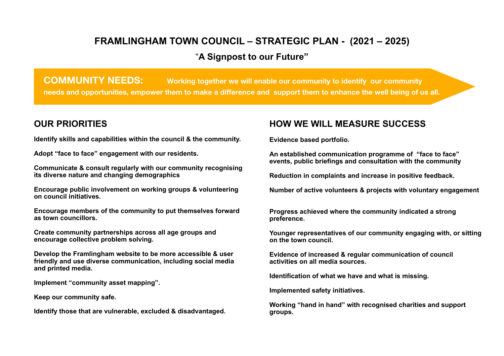#### **FRAMLINGHAM TOWN COUNCIL – STRATEGIC PLAN - (2021 – 2025)** "**A Signpost to our Future"**

**COMMUNITY NEEDS:** Working together we will enable our community to identify our community **needs and opportunities, empower them to make a difference and support them to enhance the well being of us all.**

#### **OUR PRIORITIES**

**Identify skills and capabilities within the council & the community.** 

**Adopt "face to face" engagement with our residents.** 

**Communicate & consult regularly with our community recognising its diverse nature and changing demographics** 

**Encourage public involvement on working groups & volunteering on council initiatives.** 

**Encourage members of the community to put themselves forward as town councillors.** 

**Create community partnerships across all age groups and encourage collective problem solving.** 

**Develop the Framlingham website to be more accessible & user friendly and use diverse communication, including social media and printed media.** 

**Implement "community asset mapping".** 

**Keep our community safe.** 

**Identify those that are vulnerable, excluded & disadvantaged.** 

#### **HOW WE WILL MEASURE SUCCESS**

**Evidence based portfolio.** 

**An established communication programme of "face to face" events, public briefings and consultation with the community** 

**Reduction in complaints and increase in positive feedback.** 

**Number of active volunteers & projects with voluntary engagement** 

**Progress achieved where the community indicated a strong preference.** 

**Younger representatives of our community engaging with, or sitting on the town council.** 

**Evidence of increased & regular communication of council activities on all media sources.** 

**Identification of what we have and what is missing.** 

**Implemented safety initiatives.** 

**Working "hand in hand" with recognised charities and support groups.**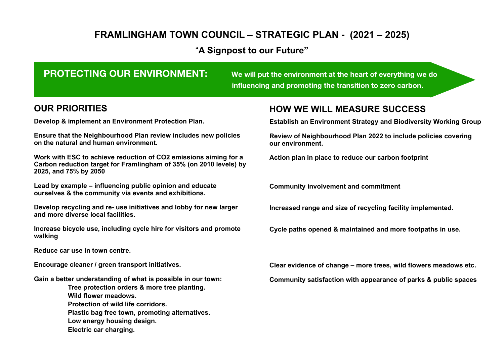#### "**A Signpost to our Future"**

#### **PROTECTING OUR ENVIRONMENT:** We will put the environment at the heart of everything we do

 **influencing and promoting the transition to zero carbon.**

#### **OUR PRIORITIES**

**Develop & implement an Environment Protection Plan.** 

**Ensure that the Neighbourhood Plan review includes new policies on the natural and human environment.** 

**Work with ESC to achieve reduction of CO2 emissions aiming for a Carbon reduction target for Framlingham of 35% (on 2010 levels) by 2025, and 75% by 2050**

**Lead by example – influencing public opinion and educate ourselves & the community via events and exhibitions.** 

**Develop recycling and re- use initiatives and lobby for new larger and more diverse local facilities.** 

**Increase bicycle use, including cycle hire for visitors and promote walking** 

**Reduce car use in town centre.** 

**Encourage cleaner / green transport initiatives.** 

**Gain a better understanding of what is possible in our town:** 

 **Tree protection orders & more tree planting. Wild flower meadows. Protection of wild life corridors. Plastic bag free town, promoting alternatives. Low energy housing design.**

**Electric car charging.**

#### **HOW WE WILL MEASURE SUCCESS**

**Establish an Environment Strategy and Biodiversity Working Group** 

**Review of Neighbourhood Plan 2022 to include policies covering our environment.** 

**Action plan in place to reduce our carbon footprint** 

**Community involvement and commitment** 

**Increased range and size of recycling facility implemented.** 

**Cycle paths opened & maintained and more footpaths in use.** 

**Clear evidence of change – more trees, wild flowers meadows etc.** 

**Community satisfaction with appearance of parks & public spaces**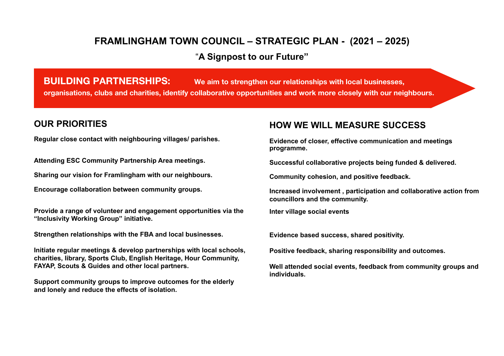#### "**A Signpost to our Future"**

**BUILDING PARTNERSHIPS: We aim to strengthen our relationships with local businesses, organisations, clubs and charities, identify collaborative opportunities and work more closely with our neighbours.**

#### **OUR PRIORITIES**

**Regular close contact with neighbouring villages/ parishes.** 

**Attending ESC Community Partnership Area meetings.** 

**Sharing our vision for Framlingham with our neighbours.** 

**Encourage collaboration between community groups.** 

**Provide a range of volunteer and engagement opportunities via the "Inclusivity Working Group" initiative.** 

**Strengthen relationships with the FBA and local businesses.** 

**Initiate regular meetings & develop partnerships with local schools, charities, library, Sports Club, English Heritage, Hour Community, FAYAP, Scouts & Guides and other local partners.** 

**Support community groups to improve outcomes for the elderly and lonely and reduce the effects of isolation.** 

#### **HOW WE WILL MEASURE SUCCESS**

**Evidence of closer, effective communication and meetings programme.** 

**Successful collaborative projects being funded & delivered.** 

**Community cohesion, and positive feedback.** 

**Increased involvement , participation and collaborative action from councillors and the community.** 

**Inter village social events** 

**Evidence based success, shared positivity.** 

**Positive feedback, sharing responsibility and outcomes.** 

**Well attended social events, feedback from community groups and individuals.**